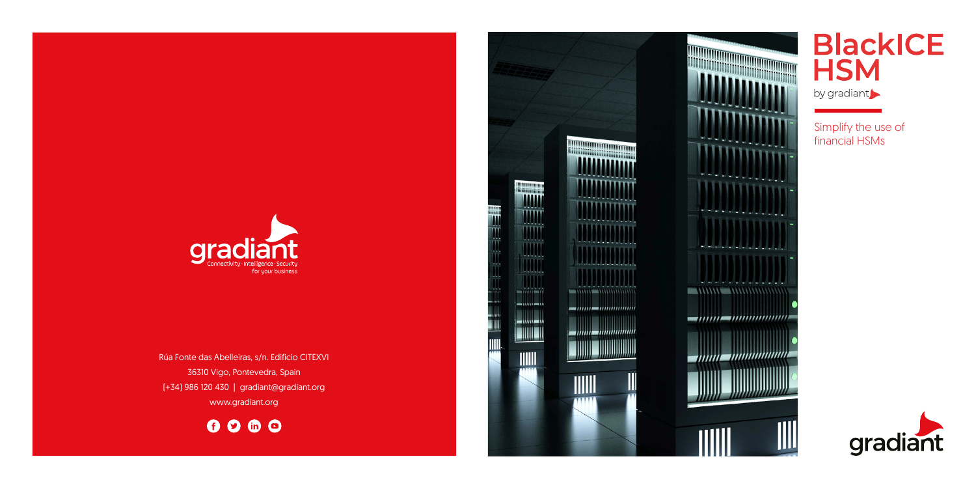

Rúa Fonte das Abelleiras, s/n. Edificio CITEXVI 36310 Vigo, Pontevedra, Spain (+34) 986 120 430 | gradiant@gradiant.org www.gradiant.org

0000





## **BlackICE**<br>HSM

by gradiant

Simplify the use of financial HSMs